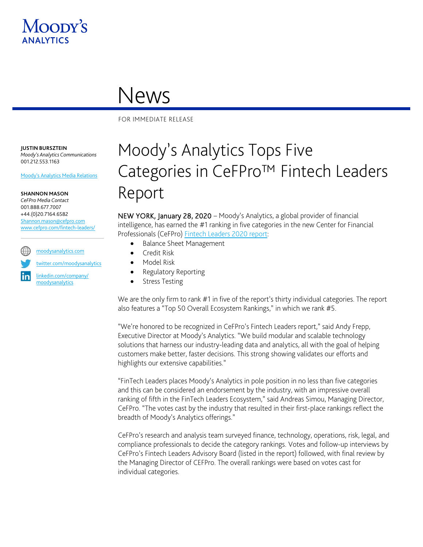

## News

FOR IMMEDIATE RELEASE

**JUSTIN BURSZTEIN** *Moody's Analytics Communications* 001.212.553.1163

[Moody's Analytics Media Relations](mailto:MAMediarelations@moodys.com?subject=Moody%E2%80%99s%20Analytics%20Tops%20Five%20Categories%20in%20CeFPro%E2%84%A2%20Fintech%20Leaders%20Report)

**SHANNON MASON**

*CeFPro Media Contact* 001.888.677.7007 +44.(0)20.7164.6582 [Shannon.mason@cefpro.com](mailto:Shannon.mason@cefpro.com) [www.cefpro.com/fintech-leaders/](https://www.cefpro.com/fintech-leaders/)

[moodysanalytics.com](http://www.moodysanalytics.com/)

[twitter.com/moodysanalytics](https://twitter.com/MoodysAnalytics)

[linkedin.com/company/](https://www.linkedin.com/company/moodysanalytics) [moodysanalytics](https://www.linkedin.com/company/moodysanalytics)

## Moody's Analytics Tops Five Categories in CeFPro™ Fintech Leaders Report

NEW YORK, January 28, 2020 – Moody's Analytics, a global provider of financial intelligence, has earned the #1 ranking in five categories in the new Center for Financial Professionals (CeFPro) [Fintech Leaders 2020 report:](https://www.cefpro.com/fintech-leaders/)

- Balance Sheet Management
- Credit Risk
- Model Risk
- Regulatory Reporting
- **Stress Testing**

We are the only firm to rank #1 in five of the report's thirty individual categories. The report also features a "Top 50 Overall Ecosystem Rankings," in which we rank #5.

"We're honored to be recognized in CeFPro's Fintech Leaders report," said Andy Frepp, Executive Director at Moody's Analytics. "We build modular and scalable technology solutions that harness our industry-leading data and analytics, all with the goal of helping customers make better, faster decisions. This strong showing validates our efforts and highlights our extensive capabilities."

"FinTech Leaders places Moody's Analytics in pole position in no less than five categories and this can be considered an endorsement by the industry, with an impressive overall ranking of fifth in the FinTech Leaders Ecosystem," said Andreas Simou, Managing Director, CeFPro. "The votes cast by the industry that resulted in their first-place rankings reflect the breadth of Moody's Analytics offerings."

CeFPro's research and analysis team surveyed finance, technology, operations, risk, legal, and compliance professionals to decide the category rankings. Votes and follow-up interviews by CeFPro's Fintech Leaders Advisory Board (listed in the report) followed, with final review by the Managing Director of CEFPro. The overall rankings were based on votes cast for individual categories.